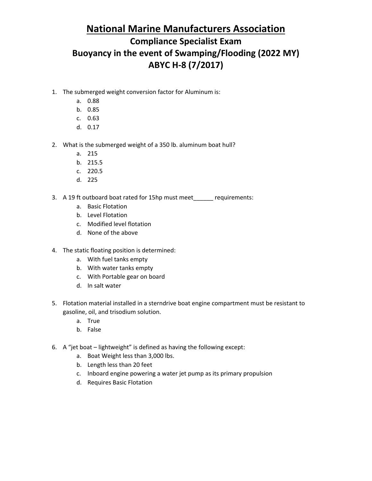- 1. The submerged weight conversion factor for Aluminum is:
	- a. 0.88
	- b. 0.85
	- c. 0.63
	- d. 0.17
- 2. What is the submerged weight of a 350 lb. aluminum boat hull?
	- a. 215
	- b. 215.5
	- c. 220.5
	- d. 225
- 3. A 19 ft outboard boat rated for 15hp must meet\_\_\_\_\_\_ requirements:
	- a. Basic Flotation
	- b. Level Flotation
	- c. Modified level flotation
	- d. None of the above
- 4. The static floating position is determined:
	- a. With fuel tanks empty
	- b. With water tanks empty
	- c. With Portable gear on board
	- d. In salt water
- 5. Flotation material installed in a sterndrive boat engine compartment must be resistant to gasoline, oil, and trisodium solution.
	- a. True
	- b. False
- 6. A "jet boat lightweight" is defined as having the following except:
	- a. Boat Weight less than 3,000 lbs.
	- b. Length less than 20 feet
	- c. Inboard engine powering a water jet pump as its primary propulsion
	- d. Requires Basic Flotation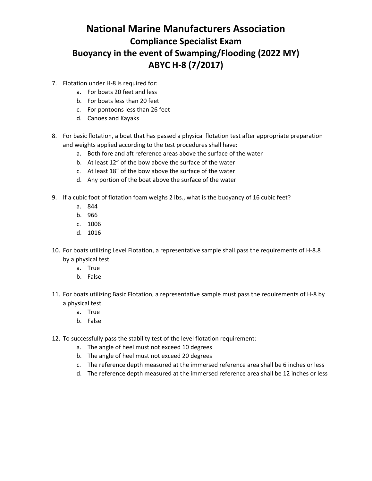- 7. Flotation under H-8 is required for:
	- a. For boats 20 feet and less
	- b. For boats less than 20 feet
	- c. For pontoons less than 26 feet
	- d. Canoes and Kayaks
- 8. For basic flotation, a boat that has passed a physical flotation test after appropriate preparation and weights applied according to the test procedures shall have:
	- a. Both fore and aft reference areas above the surface of the water
	- b. At least 12" of the bow above the surface of the water
	- c. At least 18" of the bow above the surface of the water
	- d. Any portion of the boat above the surface of the water
- 9. If a cubic foot of flotation foam weighs 2 lbs., what is the buoyancy of 16 cubic feet?
	- a. 844
	- b. 966
	- c. 1006
	- d. 1016
- 10. For boats utilizing Level Flotation, a representative sample shall pass the requirements of H-8.8 by a physical test.
	- a. True
	- b. False
- 11. For boats utilizing Basic Flotation, a representative sample must pass the requirements of H-8 by a physical test.
	- a. True
	- b. False
- 12. To successfully pass the stability test of the level flotation requirement:
	- a. The angle of heel must not exceed 10 degrees
	- b. The angle of heel must not exceed 20 degrees
	- c. The reference depth measured at the immersed reference area shall be 6 inches or less
	- d. The reference depth measured at the immersed reference area shall be 12 inches or less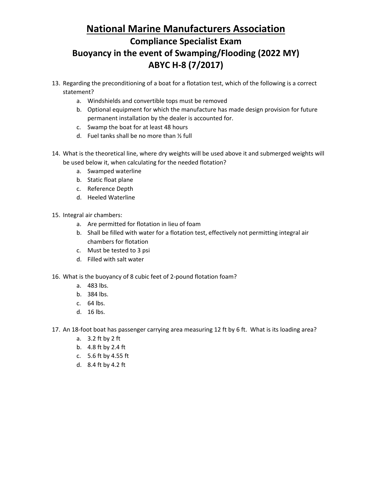- 13. Regarding the preconditioning of a boat for a flotation test, which of the following is a correct statement?
	- a. Windshields and convertible tops must be removed
	- b. Optional equipment for which the manufacture has made design provision for future permanent installation by the dealer is accounted for.
	- c. Swamp the boat for at least 48 hours
	- d. Fuel tanks shall be no more than ½ full
- 14. What is the theoretical line, where dry weights will be used above it and submerged weights will be used below it, when calculating for the needed flotation?
	- a. Swamped waterline
	- b. Static float plane
	- c. Reference Depth
	- d. Heeled Waterline

15. Integral air chambers:

- a. Are permitted for flotation in lieu of foam
- b. Shall be filled with water for a flotation test, effectively not permitting integral air chambers for flotation
- c. Must be tested to 3 psi
- d. Filled with salt water
- 16. What is the buoyancy of 8 cubic feet of 2-pound flotation foam?
	- a. 483 lbs.
	- b. 384 lbs.
	- c. 64 lbs.
	- d. 16 lbs.
- 17. An 18-foot boat has passenger carrying area measuring 12 ft by 6 ft. What is its loading area?
	- a. 3.2 ft by 2 ft
	- b. 4.8 ft by 2.4 ft
	- c. 5.6 ft by 4.55 ft
	- d. 8.4 ft by 4.2 ft